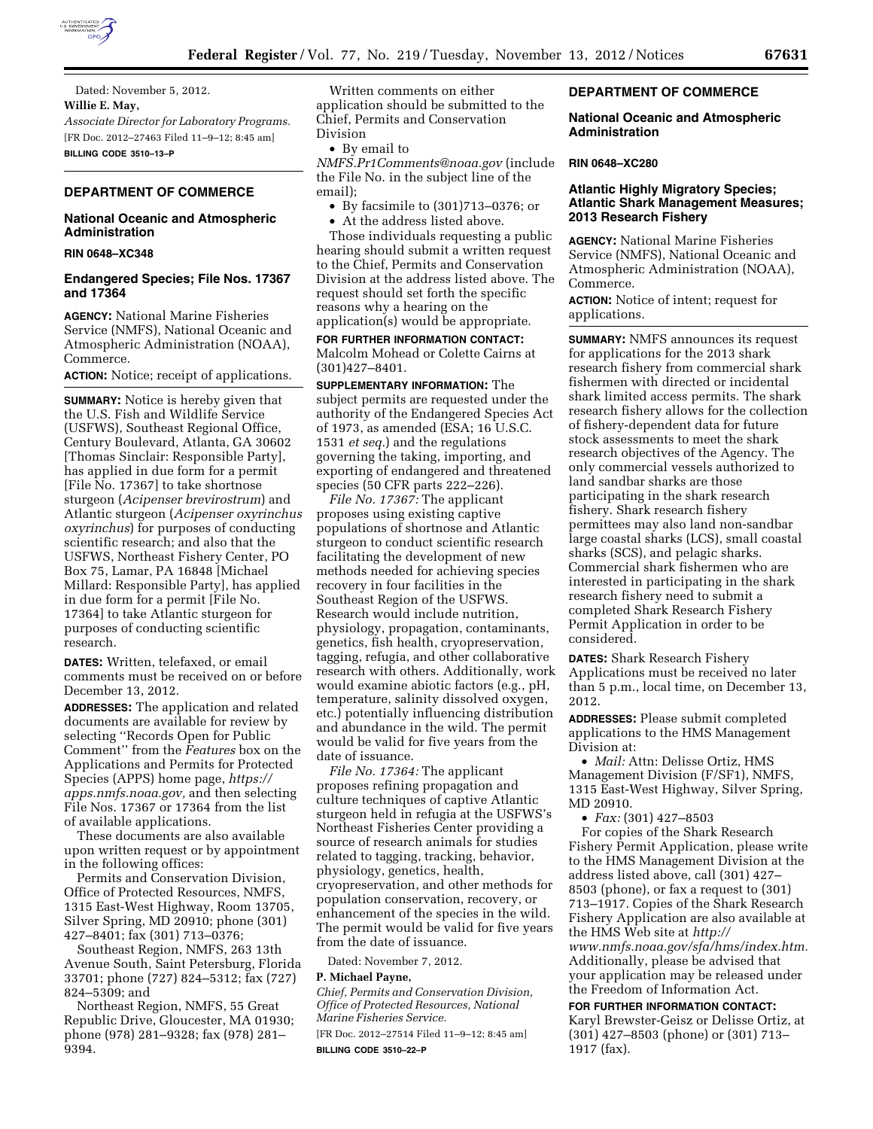

Dated: November 5, 2012. **Willie E. May,**  *Associate Director for Laboratory Programs.*  [FR Doc. 2012–27463 Filed 11–9–12; 8:45 am] **BILLING CODE 3510–13–P** 

# **DEPARTMENT OF COMMERCE**

# **National Oceanic and Atmospheric Administration**

### **RIN 0648–XC348**

### **Endangered Species; File Nos. 17367 and 17364**

**AGENCY:** National Marine Fisheries Service (NMFS), National Oceanic and Atmospheric Administration (NOAA), Commerce.

**ACTION:** Notice; receipt of applications.

**SUMMARY:** Notice is hereby given that the U.S. Fish and Wildlife Service (USFWS), Southeast Regional Office, Century Boulevard, Atlanta, GA 30602 [Thomas Sinclair: Responsible Party], has applied in due form for a permit [File No. 17367] to take shortnose sturgeon (*Acipenser brevirostrum*) and Atlantic sturgeon (*Acipenser oxyrinchus oxyrinchus*) for purposes of conducting scientific research; and also that the USFWS, Northeast Fishery Center, PO Box 75, Lamar, PA 16848 [Michael Millard: Responsible Party], has applied in due form for a permit [File No. 17364] to take Atlantic sturgeon for purposes of conducting scientific research.

**DATES:** Written, telefaxed, or email comments must be received on or before December 13, 2012.

**ADDRESSES:** The application and related documents are available for review by selecting ''Records Open for Public Comment'' from the *Features* box on the Applications and Permits for Protected Species (APPS) home page, *[https://](https://apps.nmfs.noaa.gov)  [apps.nmfs.noaa.gov,](https://apps.nmfs.noaa.gov)* and then selecting File Nos. 17367 or 17364 from the list of available applications.

These documents are also available upon written request or by appointment in the following offices:

Permits and Conservation Division, Office of Protected Resources, NMFS, 1315 East-West Highway, Room 13705, Silver Spring, MD 20910; phone (301) 427–8401; fax (301) 713–0376;

Southeast Region, NMFS, 263 13th Avenue South, Saint Petersburg, Florida 33701; phone (727) 824–5312; fax (727) 824–5309; and

Northeast Region, NMFS, 55 Great Republic Drive, Gloucester, MA 01930; phone (978) 281–9328; fax (978) 281– 9394.

Written comments on either application should be submitted to the Chief, Permits and Conservation Division

• By email to

*[NMFS.Pr1Comments@noaa.gov](mailto:NMFS.Pr1Comments@noaa.gov)* (include the File No. in the subject line of the email);

• By facsimile to (301)713–0376; or

• At the address listed above.

Those individuals requesting a public hearing should submit a written request to the Chief, Permits and Conservation Division at the address listed above. The request should set forth the specific reasons why a hearing on the application(s) would be appropriate.

**FOR FURTHER INFORMATION CONTACT:**  Malcolm Mohead or Colette Cairns at (301)427–8401.

**SUPPLEMENTARY INFORMATION:** The subject permits are requested under the authority of the Endangered Species Act of 1973, as amended (ESA; 16 U.S.C. 1531 *et seq.*) and the regulations governing the taking, importing, and exporting of endangered and threatened species (50 CFR parts 222–226).

*File No. 17367:* The applicant proposes using existing captive populations of shortnose and Atlantic sturgeon to conduct scientific research facilitating the development of new methods needed for achieving species recovery in four facilities in the Southeast Region of the USFWS. Research would include nutrition, physiology, propagation, contaminants, genetics, fish health, cryopreservation, tagging, refugia, and other collaborative research with others. Additionally, work would examine abiotic factors (e.g., pH, temperature, salinity dissolved oxygen, etc.) potentially influencing distribution and abundance in the wild. The permit would be valid for five years from the date of issuance.

*File No. 17364:* The applicant proposes refining propagation and culture techniques of captive Atlantic sturgeon held in refugia at the USFWS's Northeast Fisheries Center providing a source of research animals for studies related to tagging, tracking, behavior, physiology, genetics, health, cryopreservation, and other methods for population conservation, recovery, or enhancement of the species in the wild. The permit would be valid for five years from the date of issuance.

Dated: November 7, 2012.

# **P. Michael Payne,**

*Chief, Permits and Conservation Division, Office of Protected Resources, National Marine Fisheries Service.* 

[FR Doc. 2012–27514 Filed 11–9–12; 8:45 am] **BILLING CODE 3510–22–P** 

# **DEPARTMENT OF COMMERCE**

## **National Oceanic and Atmospheric Administration**

### **RIN 0648–XC280**

# **Atlantic Highly Migratory Species; Atlantic Shark Management Measures; 2013 Research Fishery**

**AGENCY:** National Marine Fisheries Service (NMFS), National Oceanic and Atmospheric Administration (NOAA), Commerce.

**ACTION:** Notice of intent; request for applications.

**SUMMARY:** NMFS announces its request for applications for the 2013 shark research fishery from commercial shark fishermen with directed or incidental shark limited access permits. The shark research fishery allows for the collection of fishery-dependent data for future stock assessments to meet the shark research objectives of the Agency. The only commercial vessels authorized to land sandbar sharks are those participating in the shark research fishery. Shark research fishery permittees may also land non-sandbar large coastal sharks (LCS), small coastal sharks (SCS), and pelagic sharks. Commercial shark fishermen who are interested in participating in the shark research fishery need to submit a completed Shark Research Fishery Permit Application in order to be considered.

**DATES:** Shark Research Fishery Applications must be received no later than 5 p.m., local time, on December 13, 2012.

**ADDRESSES:** Please submit completed applications to the HMS Management Division at:

• *Mail:* Attn: Delisse Ortiz, HMS Management Division (F/SF1), NMFS, 1315 East-West Highway, Silver Spring, MD 20910.

• *Fax:* (301) 427–8503

For copies of the Shark Research Fishery Permit Application, please write to the HMS Management Division at the address listed above, call (301) 427– 8503 (phone), or fax a request to (301) 713–1917. Copies of the Shark Research Fishery Application are also available at the HMS Web site at *[http://](http://www.nmfs.noaa.gov/sfa/hms/index.htm) [www.nmfs.noaa.gov/sfa/hms/index.htm.](http://www.nmfs.noaa.gov/sfa/hms/index.htm)*  Additionally, please be advised that your application may be released under the Freedom of Information Act.

**FOR FURTHER INFORMATION CONTACT:**  Karyl Brewster-Geisz or Delisse Ortiz, at (301) 427–8503 (phone) or (301) 713– 1917 (fax).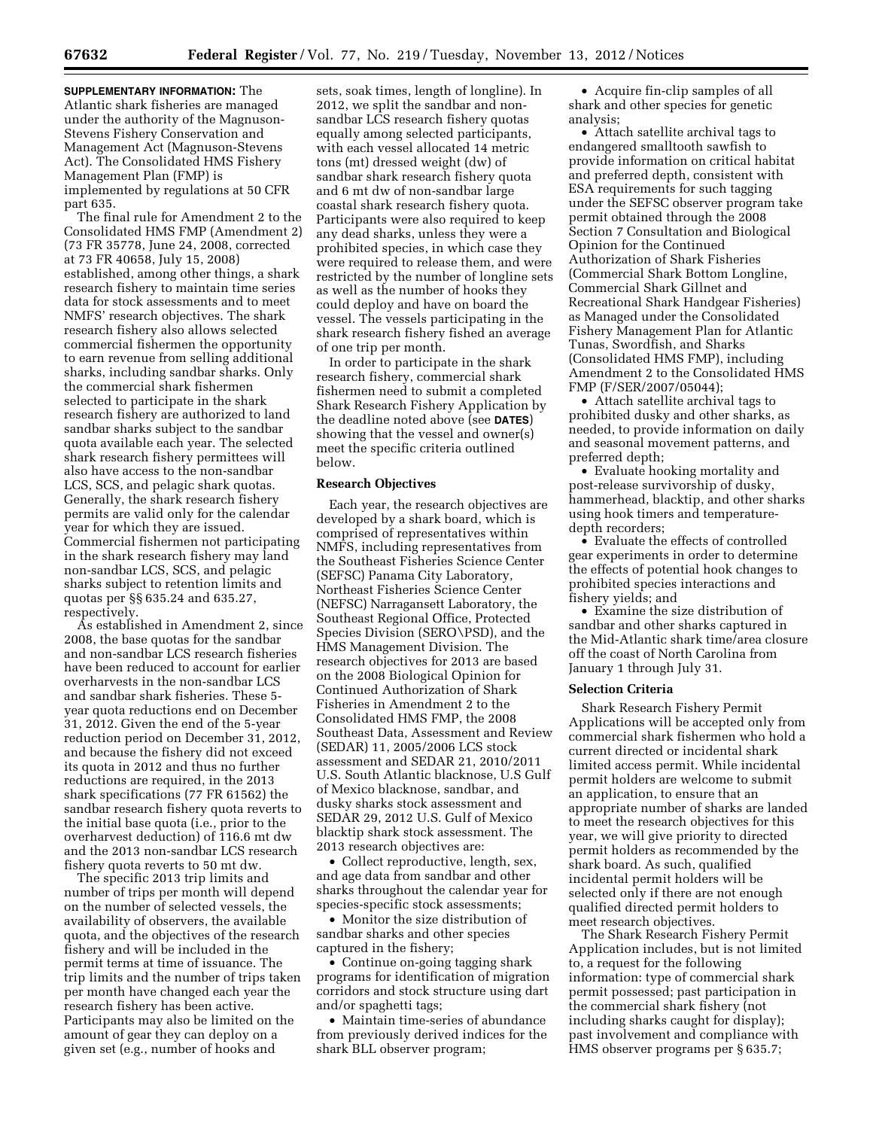**SUPPLEMENTARY INFORMATION:** The Atlantic shark fisheries are managed under the authority of the Magnuson-Stevens Fishery Conservation and Management Act (Magnuson-Stevens Act). The Consolidated HMS Fishery Management Plan (FMP) is implemented by regulations at 50 CFR part 635.

The final rule for Amendment 2 to the Consolidated HMS FMP (Amendment 2) (73 FR 35778, June 24, 2008, corrected at 73 FR 40658, July 15, 2008) established, among other things, a shark research fishery to maintain time series data for stock assessments and to meet NMFS' research objectives. The shark research fishery also allows selected commercial fishermen the opportunity to earn revenue from selling additional sharks, including sandbar sharks. Only the commercial shark fishermen selected to participate in the shark research fishery are authorized to land sandbar sharks subject to the sandbar quota available each year. The selected shark research fishery permittees will also have access to the non-sandbar LCS, SCS, and pelagic shark quotas. Generally, the shark research fishery permits are valid only for the calendar year for which they are issued. Commercial fishermen not participating in the shark research fishery may land non-sandbar LCS, SCS, and pelagic sharks subject to retention limits and quotas per §§ 635.24 and 635.27, respectively.

As established in Amendment 2, since 2008, the base quotas for the sandbar and non-sandbar LCS research fisheries have been reduced to account for earlier overharvests in the non-sandbar LCS and sandbar shark fisheries. These 5 year quota reductions end on December 31, 2012. Given the end of the 5-year reduction period on December 31, 2012, and because the fishery did not exceed its quota in 2012 and thus no further reductions are required, in the 2013 shark specifications (77 FR 61562) the sandbar research fishery quota reverts to the initial base quota (i.e., prior to the overharvest deduction) of 116.6 mt dw and the 2013 non-sandbar LCS research fishery quota reverts to 50 mt dw.

The specific 2013 trip limits and number of trips per month will depend on the number of selected vessels, the availability of observers, the available quota, and the objectives of the research fishery and will be included in the permit terms at time of issuance. The trip limits and the number of trips taken per month have changed each year the research fishery has been active. Participants may also be limited on the amount of gear they can deploy on a given set (e.g., number of hooks and

sets, soak times, length of longline). In 2012, we split the sandbar and nonsandbar LCS research fishery quotas equally among selected participants, with each vessel allocated 14 metric tons (mt) dressed weight (dw) of sandbar shark research fishery quota and 6 mt dw of non-sandbar large coastal shark research fishery quota. Participants were also required to keep any dead sharks, unless they were a prohibited species, in which case they were required to release them, and were restricted by the number of longline sets as well as the number of hooks they could deploy and have on board the vessel. The vessels participating in the shark research fishery fished an average of one trip per month.

In order to participate in the shark research fishery, commercial shark fishermen need to submit a completed Shark Research Fishery Application by the deadline noted above (see **DATES**) showing that the vessel and owner(s) meet the specific criteria outlined below.

## **Research Objectives**

Each year, the research objectives are developed by a shark board, which is comprised of representatives within NMFS, including representatives from the Southeast Fisheries Science Center (SEFSC) Panama City Laboratory, Northeast Fisheries Science Center (NEFSC) Narragansett Laboratory, the Southeast Regional Office, Protected Species Division (SERO\PSD), and the HMS Management Division. The research objectives for 2013 are based on the 2008 Biological Opinion for Continued Authorization of Shark Fisheries in Amendment 2 to the Consolidated HMS FMP, the 2008 Southeast Data, Assessment and Review (SEDAR) 11, 2005/2006 LCS stock assessment and SEDAR 21, 2010/2011 U.S. South Atlantic blacknose, U.S Gulf of Mexico blacknose, sandbar, and dusky sharks stock assessment and SEDAR 29, 2012 U.S. Gulf of Mexico blacktip shark stock assessment. The 2013 research objectives are:

• Collect reproductive, length, sex, and age data from sandbar and other sharks throughout the calendar year for species-specific stock assessments;

• Monitor the size distribution of sandbar sharks and other species captured in the fishery;

• Continue on-going tagging shark programs for identification of migration corridors and stock structure using dart and/or spaghetti tags;

• Maintain time-series of abundance from previously derived indices for the shark BLL observer program;

• Acquire fin-clip samples of all shark and other species for genetic analysis;

• Attach satellite archival tags to endangered smalltooth sawfish to provide information on critical habitat and preferred depth, consistent with ESA requirements for such tagging under the SEFSC observer program take permit obtained through the 2008 Section 7 Consultation and Biological Opinion for the Continued Authorization of Shark Fisheries (Commercial Shark Bottom Longline, Commercial Shark Gillnet and Recreational Shark Handgear Fisheries) as Managed under the Consolidated Fishery Management Plan for Atlantic Tunas, Swordfish, and Sharks (Consolidated HMS FMP), including Amendment 2 to the Consolidated HMS FMP (F/SER/2007/05044);

• Attach satellite archival tags to prohibited dusky and other sharks, as needed, to provide information on daily and seasonal movement patterns, and preferred depth;

• Evaluate hooking mortality and post-release survivorship of dusky, hammerhead, blacktip, and other sharks using hook timers and temperaturedepth recorders;

• Evaluate the effects of controlled gear experiments in order to determine the effects of potential hook changes to prohibited species interactions and fishery yields; and

• Examine the size distribution of sandbar and other sharks captured in the Mid-Atlantic shark time/area closure off the coast of North Carolina from January 1 through July 31.

### **Selection Criteria**

Shark Research Fishery Permit Applications will be accepted only from commercial shark fishermen who hold a current directed or incidental shark limited access permit. While incidental permit holders are welcome to submit an application, to ensure that an appropriate number of sharks are landed to meet the research objectives for this year, we will give priority to directed permit holders as recommended by the shark board. As such, qualified incidental permit holders will be selected only if there are not enough qualified directed permit holders to meet research objectives.

The Shark Research Fishery Permit Application includes, but is not limited to, a request for the following information: type of commercial shark permit possessed; past participation in the commercial shark fishery (not including sharks caught for display); past involvement and compliance with HMS observer programs per § 635.7;